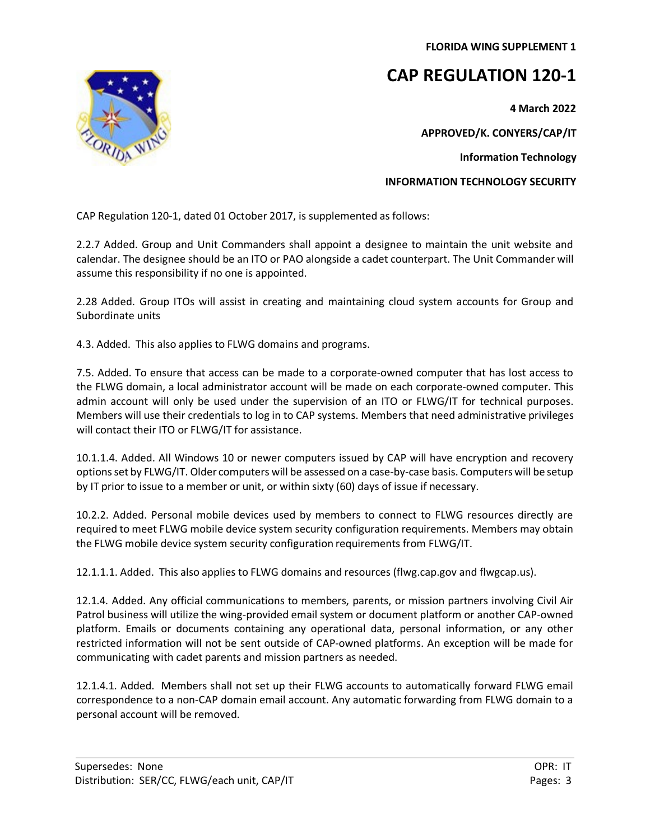**FLORIDA WING SUPPLEMENT 1**

## **CAP REGULATION 120-1**

**4 March 2022**

**APPROVED/K. CONYERS/CAP/IT**

**Information Technology**

**INFORMATION TECHNOLOGY SECURITY**

CAP Regulation 120-1, dated 01 October 2017, is supplemented as follows:

2.2.7 Added. Group and Unit Commanders shall appoint a designee to maintain the unit website and calendar. The designee should be an ITO or PAO alongside a cadet counterpart. The Unit Commander will assume this responsibility if no one is appointed.

2.28 Added. Group ITOs will assist in creating and maintaining cloud system accounts for Group and Subordinate units

4.3. Added. This also applies to FLWG domains and programs.

7.5. Added. To ensure that access can be made to a corporate-owned computer that has lost access to the FLWG domain, a local administrator account will be made on each corporate-owned computer. This admin account will only be used under the supervision of an ITO or FLWG/IT for technical purposes. Members will use their credentials to log in to CAP systems. Members that need administrative privileges will contact their ITO or FLWG/IT for assistance.

10.1.1.4. Added. All Windows 10 or newer computers issued by CAP will have encryption and recovery options set by FLWG/IT. Older computers will be assessed on a case-by-case basis. Computers will be setup by IT prior to issue to a member or unit, or within sixty (60) days of issue if necessary.

10.2.2. Added. Personal mobile devices used by members to connect to FLWG resources directly are required to meet FLWG mobile device system security configuration requirements. Members may obtain the FLWG mobile device system security configuration requirements from FLWG/IT.

12.1.1.1. Added. This also applies to FLWG domains and resources (flwg.cap.gov and flwgcap.us).

12.1.4. Added. Any official communications to members, parents, or mission partners involving Civil Air Patrol business will utilize the wing-provided email system or document platform or another CAP-owned platform. Emails or documents containing any operational data, personal information, or any other restricted information will not be sent outside of CAP-owned platforms. An exception will be made for communicating with cadet parents and mission partners as needed.

12.1.4.1. Added. Members shall not set up their FLWG accounts to automatically forward FLWG email correspondence to a non-CAP domain email account. Any automatic forwarding from FLWG domain to a personal account will be removed.

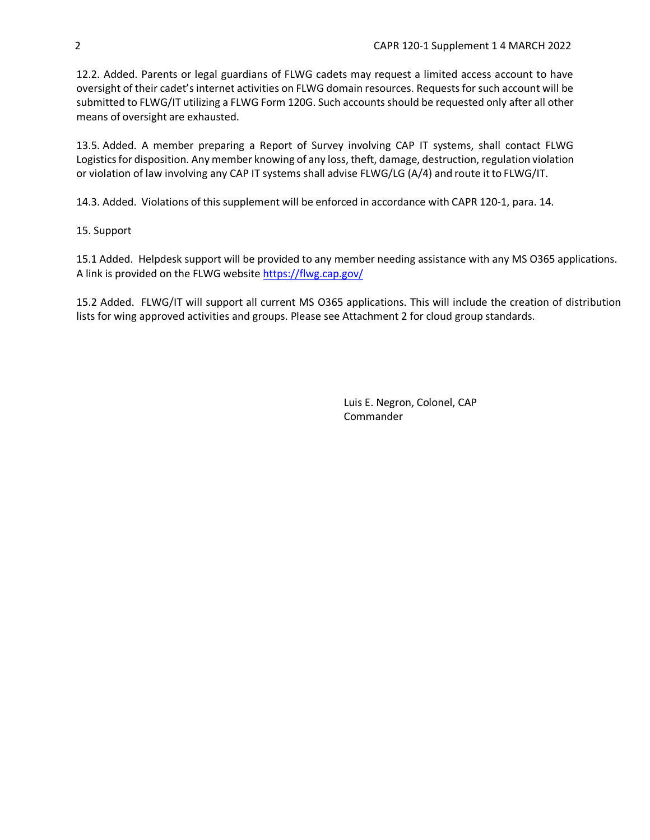12.2. Added. Parents or legal guardians of FLWG cadets may request a limited access account to have oversight of their cadet's internet activities on FLWG domain resources. Requests for such account will be submitted to FLWG/IT utilizing a FLWG Form 120G. Such accounts should be requested only after all other means of oversight are exhausted.

13.5. Added. A member preparing a Report of Survey involving CAP IT systems, shall contact FLWG Logistics for disposition. Any member knowing of any loss, theft, damage, destruction, regulation violation or violation of law involving any CAP IT systems shall advise FLWG/LG (A/4) and route itto FLWG/IT.

14.3. Added. Violations of this supplement will be enforced in accordance with CAPR 120-1, para. 14.

## 15. Support

15.1 Added. Helpdesk support will be provided to any member needing assistance with any MS O365 applications. A link is provided on the FLWG website https:/[/flwg.cap.gov](https://flwg.cap.gov/)/

15.2 Added. FLWG/IT will support all current MS O365 applications. This will include the creation of distribution lists for wing approved activities and groups. Please see Attachment 2 for cloud group standards.

> Luis E. Negron, Colonel, CAP **Commander**